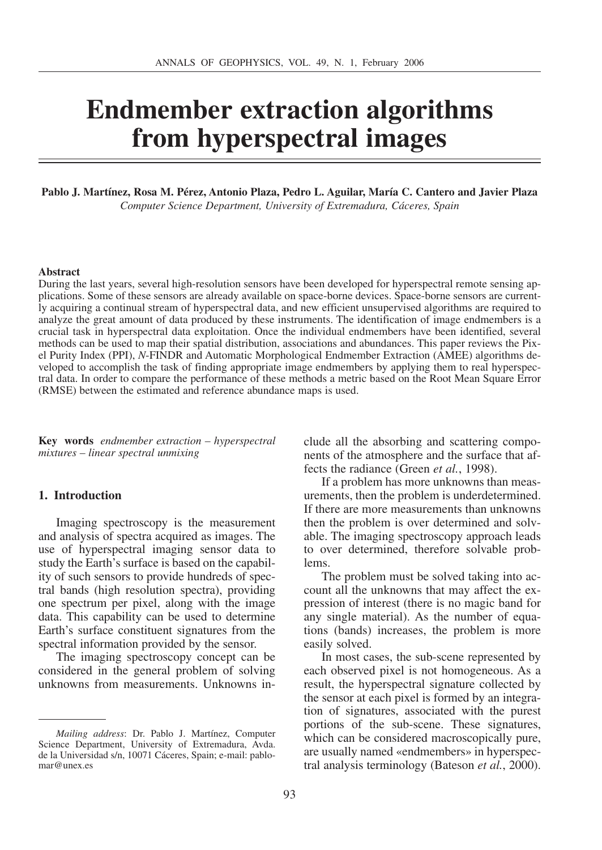# **Endmember extraction algorithms from hyperspectral images**

#### **Pablo J. Martínez, Rosa M. Pérez, Antonio Plaza, Pedro L. Aguilar, María C. Cantero and Javier Plaza**  *Computer Science Department, University of Extremadura, Cáceres, Spain*

#### **Abstract**

During the last years, several high-resolution sensors have been developed for hyperspectral remote sensing applications. Some of these sensors are already available on space-borne devices. Space-borne sensors are currently acquiring a continual stream of hyperspectral data, and new efficient unsupervised algorithms are required to analyze the great amount of data produced by these instruments. The identification of image endmembers is a crucial task in hyperspectral data exploitation. Once the individual endmembers have been identified, several methods can be used to map their spatial distribution, associations and abundances. This paper reviews the Pixel Purity Index (PPI), *N*-FINDR and Automatic Morphological Endmember Extraction (AMEE) algorithms developed to accomplish the task of finding appropriate image endmembers by applying them to real hyperspectral data. In order to compare the performance of these methods a metric based on the Root Mean Square Error (RMSE) between the estimated and reference abundance maps is used.

**Key words** *endmember extraction – hyperspectral mixtures – linear spectral unmixing*

#### **1. Introduction**

Imaging spectroscopy is the measurement and analysis of spectra acquired as images. The use of hyperspectral imaging sensor data to study the Earth's surface is based on the capability of such sensors to provide hundreds of spectral bands (high resolution spectra), providing one spectrum per pixel, along with the image data. This capability can be used to determine Earth's surface constituent signatures from the spectral information provided by the sensor.

The imaging spectroscopy concept can be considered in the general problem of solving unknowns from measurements. Unknowns include all the absorbing and scattering components of the atmosphere and the surface that affects the radiance (Green *et al.*, 1998).

If a problem has more unknowns than measurements, then the problem is underdetermined. If there are more measurements than unknowns then the problem is over determined and solvable. The imaging spectroscopy approach leads to over determined, therefore solvable problems.

The problem must be solved taking into account all the unknowns that may affect the expression of interest (there is no magic band for any single material). As the number of equations (bands) increases, the problem is more easily solved.

In most cases, the sub-scene represented by each observed pixel is not homogeneous. As a result, the hyperspectral signature collected by the sensor at each pixel is formed by an integration of signatures, associated with the purest portions of the sub-scene. These signatures, which can be considered macroscopically pure, are usually named «endmembers» in hyperspectral analysis terminology (Bateson *et al.*, 2000).

*Mailing address*: Dr. Pablo J. Martínez, Computer Science Department, University of Extremadura, Avda. de la Universidad s/n, 10071 Cáceres, Spain; e-mail: pablomar@unex.es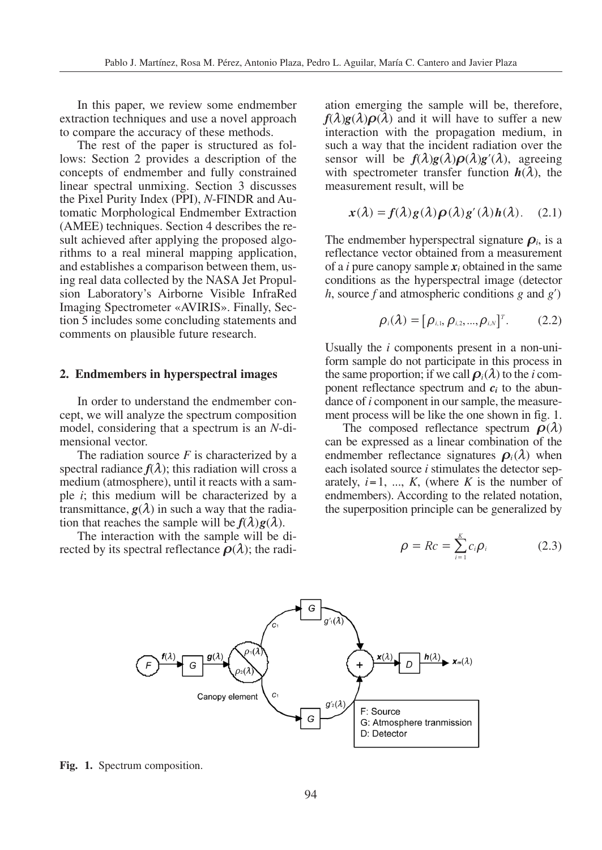In this paper, we review some endmember extraction techniques and use a novel approach to compare the accuracy of these methods.

The rest of the paper is structured as follows: Section 2 provides a description of the concepts of endmember and fully constrained linear spectral unmixing. Section 3 discusses the Pixel Purity Index (PPI), *N*-FINDR and Automatic Morphological Endmember Extraction (AMEE) techniques. Section 4 describes the result achieved after applying the proposed algorithms to a real mineral mapping application, and establishes a comparison between them, using real data collected by the NASA Jet Propulsion Laboratory's Airborne Visible InfraRed Imaging Spectrometer «AVIRIS». Finally, Section 5 includes some concluding statements and comments on plausible future research.

#### **2. Endmembers in hyperspectral images**

In order to understand the endmember concept, we will analyze the spectrum composition model, considering that a spectrum is an *N*-dimensional vector.

The radiation source *F* is characterized by a spectral radiance  $f(\lambda)$ ; this radiation will cross a medium (atmosphere), until it reacts with a sample *i*; this medium will be characterized by a transmittance,  $g(\lambda)$  in such a way that the radiation that reaches the sample will be  $f(\lambda)g(\lambda)$ .

The interaction with the sample will be directed by its spectral reflectance  $\rho(\lambda)$ ; the radi-

ation emerging the sample will be, therefore,  $f(\lambda)g(\lambda)\rho(\lambda)$  and it will have to suffer a new interaction with the propagation medium, in such a way that the incident radiation over the sensor will be  $f(\lambda)g(\lambda)\rho(\lambda)g'(\lambda)$ , agreeing with spectrometer transfer function  $h(\lambda)$ , the measurement result, will be

$$
\mathbf{x}(\lambda) = \mathbf{f}(\lambda) \mathbf{g}(\lambda) \mathbf{\rho}(\lambda) \mathbf{g}'(\lambda) \mathbf{h}(\lambda). \quad (2.1)
$$

The endmember hyperspectral signature  $\rho_i$ , is a reflectance vector obtained from a measurement of a *i* pure canopy sample *x<sup>i</sup>* obtained in the same conditions as the hyperspectral image (detector *h*, source *f* and atmospheric conditions *g* and *g*<sup> $\prime$ </sup>)

$$
\rho_i(\lambda) = [\rho_{i,1}, \rho_{i,2}, ..., \rho_{i,N}]^T. \qquad (2.2)
$$

Usually the *i* components present in a non-uniform sample do not participate in this process in the same proportion; if we call  $\rho_i(\lambda)$  to the *i* component reflectance spectrum and  $c_i$  to the abundance of *i* component in our sample, the measurement process will be like the one shown in fig. 1.

The composed reflectance spectrum  $\rho(\lambda)$ can be expressed as a linear combination of the endmember reflectance signatures  $\rho_i(\lambda)$  when each isolated source *i* stimulates the detector separately,  $i=1, ..., K$ , (where  $K$  is the number of endmembers). According to the related notation, the superposition principle can be generalized by

$$
\rho = Rc = \sum_{i=1}^{K} c_i \rho_i \qquad (2.3)
$$



**Fig. 1.** Spectrum composition.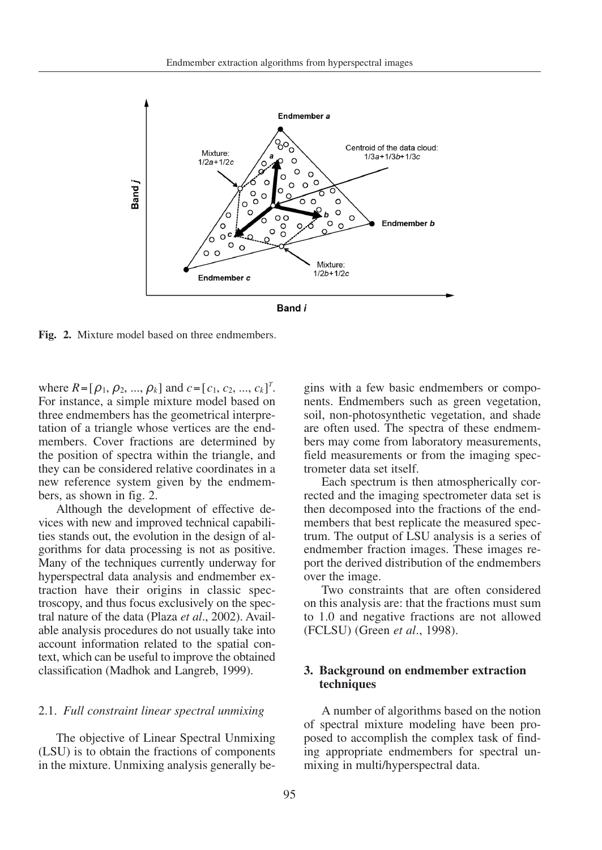

**Fig. 2.** Mixture model based on three endmembers.

where  $R = [\rho_1, \rho_2, ..., \rho_k]$  and  $c = [c_1, c_2, ..., c_k]^T$ . For instance, a simple mixture model based on three endmembers has the geometrical interpretation of a triangle whose vertices are the endmembers. Cover fractions are determined by the position of spectra within the triangle, and they can be considered relative coordinates in a new reference system given by the endmembers, as shown in fig. 2.

Although the development of effective devices with new and improved technical capabilities stands out, the evolution in the design of algorithms for data processing is not as positive. Many of the techniques currently underway for hyperspectral data analysis and endmember extraction have their origins in classic spectroscopy, and thus focus exclusively on the spectral nature of the data (Plaza *et al*., 2002). Available analysis procedures do not usually take into account information related to the spatial context, which can be useful to improve the obtained classification (Madhok and Langreb, 1999).

#### 2.1. *Full constraint linear spectral unmixing*

The objective of Linear Spectral Unmixing (LSU) is to obtain the fractions of components in the mixture. Unmixing analysis generally begins with a few basic endmembers or components. Endmembers such as green vegetation, soil, non-photosynthetic vegetation, and shade are often used. The spectra of these endmembers may come from laboratory measurements, field measurements or from the imaging spectrometer data set itself.

Each spectrum is then atmospherically corrected and the imaging spectrometer data set is then decomposed into the fractions of the endmembers that best replicate the measured spectrum. The output of LSU analysis is a series of endmember fraction images. These images report the derived distribution of the endmembers over the image.

Two constraints that are often considered on this analysis are: that the fractions must sum to 1.0 and negative fractions are not allowed (FCLSU) (Green *et al*., 1998).

## **3. Background on endmember extraction techniques**

A number of algorithms based on the notion of spectral mixture modeling have been proposed to accomplish the complex task of finding appropriate endmembers for spectral unmixing in multi/hyperspectral data.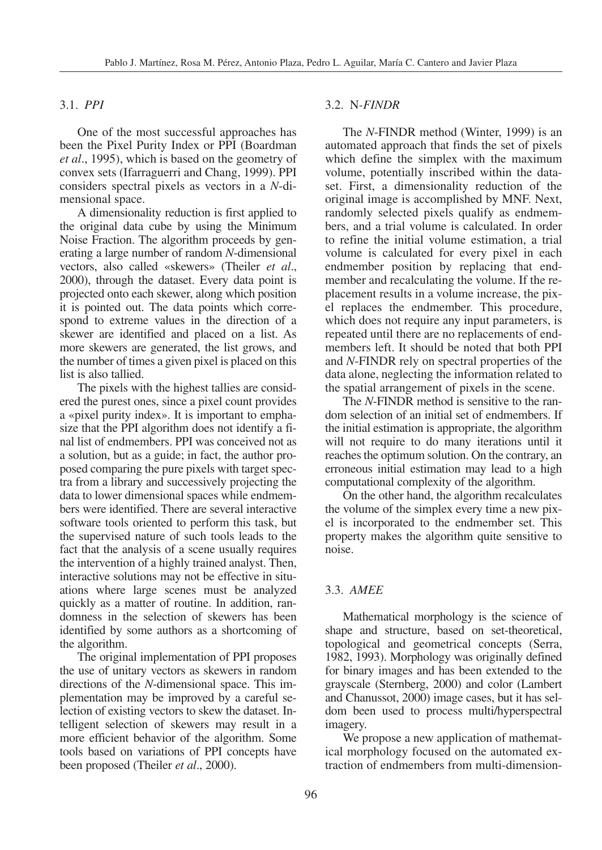## 3.1. *PPI*

One of the most successful approaches has been the Pixel Purity Index or PPI (Boardman *et al*., 1995), which is based on the geometry of convex sets (Ifarraguerri and Chang, 1999). PPI considers spectral pixels as vectors in a *N*-dimensional space.

A dimensionality reduction is first applied to the original data cube by using the Minimum Noise Fraction. The algorithm proceeds by generating a large number of random *N*-dimensional vectors, also called «skewers» (Theiler *et al*., 2000), through the dataset. Every data point is projected onto each skewer, along which position it is pointed out. The data points which correspond to extreme values in the direction of a skewer are identified and placed on a list. As more skewers are generated, the list grows, and the number of times a given pixel is placed on this list is also tallied.

The pixels with the highest tallies are considered the purest ones, since a pixel count provides a «pixel purity index». It is important to emphasize that the PPI algorithm does not identify a final list of endmembers. PPI was conceived not as a solution, but as a guide; in fact, the author proposed comparing the pure pixels with target spectra from a library and successively projecting the data to lower dimensional spaces while endmembers were identified. There are several interactive software tools oriented to perform this task, but the supervised nature of such tools leads to the fact that the analysis of a scene usually requires the intervention of a highly trained analyst. Then, interactive solutions may not be effective in situations where large scenes must be analyzed quickly as a matter of routine. In addition, randomness in the selection of skewers has been identified by some authors as a shortcoming of the algorithm.

The original implementation of PPI proposes the use of unitary vectors as skewers in random directions of the *N*-dimensional space. This implementation may be improved by a careful selection of existing vectors to skew the dataset. Intelligent selection of skewers may result in a more efficient behavior of the algorithm. Some tools based on variations of PPI concepts have been proposed (Theiler *et al*., 2000).

## 3.2. N*-FINDR*

The *N*-FINDR method (Winter, 1999) is an automated approach that finds the set of pixels which define the simplex with the maximum volume, potentially inscribed within the dataset. First, a dimensionality reduction of the original image is accomplished by MNF. Next, randomly selected pixels qualify as endmembers, and a trial volume is calculated. In order to refine the initial volume estimation, a trial volume is calculated for every pixel in each endmember position by replacing that endmember and recalculating the volume. If the replacement results in a volume increase, the pixel replaces the endmember. This procedure, which does not require any input parameters, is repeated until there are no replacements of endmembers left. It should be noted that both PPI and *N*-FINDR rely on spectral properties of the data alone, neglecting the information related to the spatial arrangement of pixels in the scene.

The *N*-FINDR method is sensitive to the random selection of an initial set of endmembers. If the initial estimation is appropriate, the algorithm will not require to do many iterations until it reaches the optimum solution. On the contrary, an erroneous initial estimation may lead to a high computational complexity of the algorithm.

On the other hand, the algorithm recalculates the volume of the simplex every time a new pixel is incorporated to the endmember set. This property makes the algorithm quite sensitive to noise.

#### 3.3. *AMEE*

Mathematical morphology is the science of shape and structure, based on set-theoretical, topological and geometrical concepts (Serra, 1982, 1993). Morphology was originally defined for binary images and has been extended to the grayscale (Sternberg, 2000) and color (Lambert and Chanussot, 2000) image cases, but it has seldom been used to process multi/hyperspectral imagery.

We propose a new application of mathematical morphology focused on the automated extraction of endmembers from multi-dimension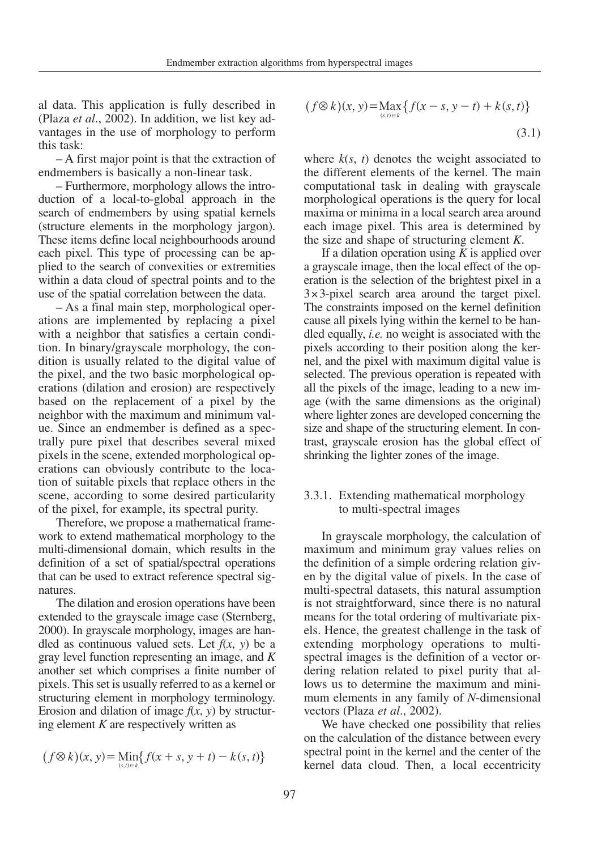al data. This application is fully described in (Plaza *et al*., 2002). In addition, we list key advantages in the use of morphology to perform this task:

– A first major point is that the extraction of endmembers is basically a non-linear task.

– Furthermore, morphology allows the introduction of a local-to-global approach in the search of endmembers by using spatial kernels (structure elements in the morphology jargon). These items define local neighbourhoods around each pixel. This type of processing can be applied to the search of convexities or extremities within a data cloud of spectral points and to the use of the spatial correlation between the data.

– As a final main step, morphological operations are implemented by replacing a pixel with a neighbor that satisfies a certain condition. In binary/grayscale morphology, the condition is usually related to the digital value of the pixel, and the two basic morphological operations (dilation and erosion) are respectively based on the replacement of a pixel by the neighbor with the maximum and minimum value. Since an endmember is defined as a spectrally pure pixel that describes several mixed pixels in the scene, extended morphological operations can obviously contribute to the location of suitable pixels that replace others in the scene, according to some desired particularity of the pixel, for example, its spectral purity.

Therefore, we propose a mathematical framework to extend mathematical morphology to the multi-dimensional domain, which results in the definition of a set of spatial/spectral operations that can be used to extract reference spectral signatures.

The dilation and erosion operations have been extended to the grayscale image case (Sternberg, 2000). In grayscale morphology, images are handled as continuous valued sets. Let  $f(x, y)$  be a gray level function representing an image, and *K* another set which comprises a finite number of pixels. This set is usually referred to as a kernel or structuring element in morphology terminology. Erosion and dilation of image  $f(x, y)$  by structuring element *K* are respectively written as

$$
(f \otimes k)(x, y) = \min_{(s,t) \in k} \{ f(x+s, y+t) - k(s,t) \}
$$

$$
(f \otimes k)(x, y) = \max_{(s,t) \in k} \{ f(x - s, y - t) + k(s, t) \}
$$
\n(3.1)

where  $k(s, t)$  denotes the weight associated to the different elements of the kernel. The main computational task in dealing with grayscale morphological operations is the query for local maxima or minima in a local search area around each image pixel. This area is determined by the size and shape of structuring element *K*.

If a dilation operation using *K* is applied over a grayscale image, then the local effect of the operation is the selection of the brightest pixel in a  $3 \times 3$ -pixel search area around the target pixel. The constraints imposed on the kernel definition cause all pixels lying within the kernel to be handled equally, *i.e.* no weight is associated with the pixels according to their position along the kernel, and the pixel with maximum digital value is selected. The previous operation is repeated with all the pixels of the image, leading to a new image (with the same dimensions as the original) where lighter zones are developed concerning the size and shape of the structuring element. In contrast, grayscale erosion has the global effect of shrinking the lighter zones of the image.

## 3.3.1. Extending mathematical morphology to multi-spectral images

In grayscale morphology, the calculation of maximum and minimum gray values relies on the definition of a simple ordering relation given by the digital value of pixels. In the case of multi-spectral datasets, this natural assumption is not straightforward, since there is no natural means for the total ordering of multivariate pixels. Hence, the greatest challenge in the task of extending morphology operations to multispectral images is the definition of a vector ordering relation related to pixel purity that allows us to determine the maximum and minimum elements in any family of *N*-dimensional vectors (Plaza *et al*., 2002).

We have checked one possibility that relies on the calculation of the distance between every spectral point in the kernel and the center of the kernel data cloud. Then, a local eccentricity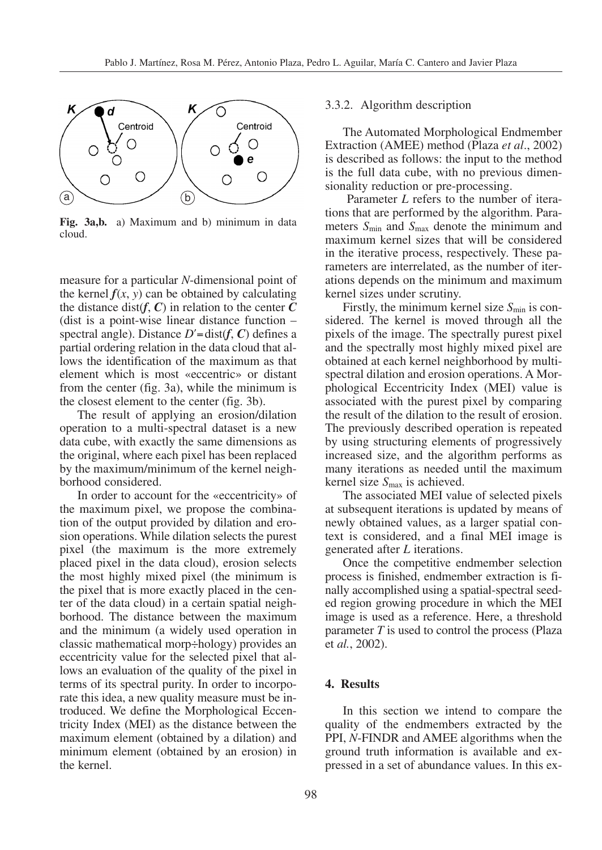

**Fig. 3a,b.** a) Maximum and b) minimum in data cloud.

measure for a particular *N*-dimensional point of the kernel  $f(x, y)$  can be obtained by calculating the distance dist $(f, C)$  in relation to the center  $C$ (dist is a point-wise linear distance function – spectral angle). Distance  $D'$ =dist( $f$ ,  $C$ ) defines a partial ordering relation in the data cloud that allows the identification of the maximum as that element which is most «eccentric» or distant from the center (fig. 3a), while the minimum is the closest element to the center (fig. 3b).

The result of applying an erosion/dilation operation to a multi-spectral dataset is a new data cube, with exactly the same dimensions as the original, where each pixel has been replaced by the maximum/minimum of the kernel neighborhood considered.

In order to account for the «eccentricity» of the maximum pixel, we propose the combination of the output provided by dilation and erosion operations. While dilation selects the purest pixel (the maximum is the more extremely placed pixel in the data cloud), erosion selects the most highly mixed pixel (the minimum is the pixel that is more exactly placed in the center of the data cloud) in a certain spatial neighborhood. The distance between the maximum and the minimum (a widely used operation in classic mathematical morp÷hology) provides an eccentricity value for the selected pixel that allows an evaluation of the quality of the pixel in terms of its spectral purity. In order to incorporate this idea, a new quality measure must be introduced. We define the Morphological Eccentricity Index (MEI) as the distance between the maximum element (obtained by a dilation) and minimum element (obtained by an erosion) in the kernel.

#### 3.3.2. Algorithm description

The Automated Morphological Endmember Extraction (AMEE) method (Plaza *et al*., 2002) is described as follows: the input to the method is the full data cube, with no previous dimensionality reduction or pre-processing.

Parameter *L* refers to the number of iterations that are performed by the algorithm. Parameters *S*min and *S*max denote the minimum and maximum kernel sizes that will be considered in the iterative process, respectively. These parameters are interrelated, as the number of iterations depends on the minimum and maximum kernel sizes under scrutiny.

Firstly, the minimum kernel size  $S_{\text{min}}$  is considered. The kernel is moved through all the pixels of the image. The spectrally purest pixel and the spectrally most highly mixed pixel are obtained at each kernel neighborhood by multispectral dilation and erosion operations. A Morphological Eccentricity Index (MEI) value is associated with the purest pixel by comparing the result of the dilation to the result of erosion. The previously described operation is repeated by using structuring elements of progressively increased size, and the algorithm performs as many iterations as needed until the maximum kernel size *S*max is achieved.

The associated MEI value of selected pixels at subsequent iterations is updated by means of newly obtained values, as a larger spatial context is considered, and a final MEI image is generated after *L* iterations.

Once the competitive endmember selection process is finished, endmember extraction is finally accomplished using a spatial-spectral seeded region growing procedure in which the MEI image is used as a reference. Here, a threshold parameter *T* is used to control the process (Plaza et *al.*, 2002).

# **4. Results**

In this section we intend to compare the quality of the endmembers extracted by the PPI, *N*-FINDR and AMEE algorithms when the ground truth information is available and expressed in a set of abundance values. In this ex-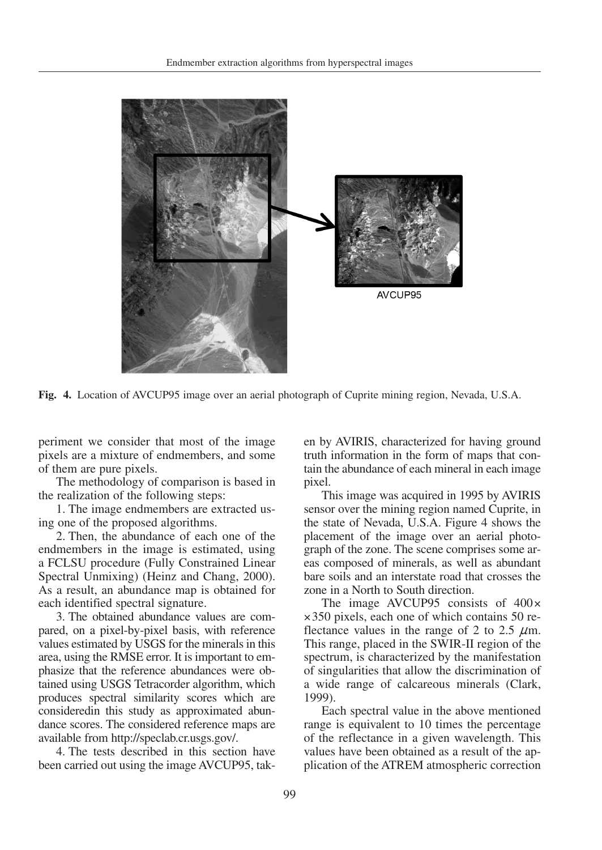

**Fig. 4.** Location of AVCUP95 image over an aerial photograph of Cuprite mining region, Nevada, U.S.A.

periment we consider that most of the image pixels are a mixture of endmembers, and some of them are pure pixels.

The methodology of comparison is based in the realization of the following steps:

1. The image endmembers are extracted using one of the proposed algorithms.

2. Then, the abundance of each one of the endmembers in the image is estimated, using a FCLSU procedure (Fully Constrained Linear Spectral Unmixing) (Heinz and Chang, 2000). As a result, an abundance map is obtained for each identified spectral signature.

3. The obtained abundance values are compared, on a pixel-by-pixel basis, with reference values estimated by USGS for the minerals in this area, using the RMSE error. It is important to emphasize that the reference abundances were obtained using USGS Tetracorder algorithm, which produces spectral similarity scores which are consideredin this study as approximated abundance scores. The considered reference maps are available from http://speclab.cr.usgs.gov/.

4. The tests described in this section have been carried out using the image AVCUP95, taken by AVIRIS, characterized for having ground truth information in the form of maps that contain the abundance of each mineral in each image pixel.

This image was acquired in 1995 by AVIRIS sensor over the mining region named Cuprite, in the state of Nevada, U.S.A. Figure 4 shows the placement of the image over an aerial photograph of the zone. The scene comprises some areas composed of minerals, as well as abundant bare soils and an interstate road that crosses the zone in a North to South direction.

The image AVCUP95 consists of  $400 \times$ ×350 pixels, each one of which contains 50 reflectance values in the range of 2 to 2.5  $\mu$ m. This range, placed in the SWIR-II region of the spectrum, is characterized by the manifestation of singularities that allow the discrimination of a wide range of calcareous minerals (Clark, 1999).

Each spectral value in the above mentioned range is equivalent to 10 times the percentage of the reflectance in a given wavelength. This values have been obtained as a result of the application of the ATREM atmospheric correction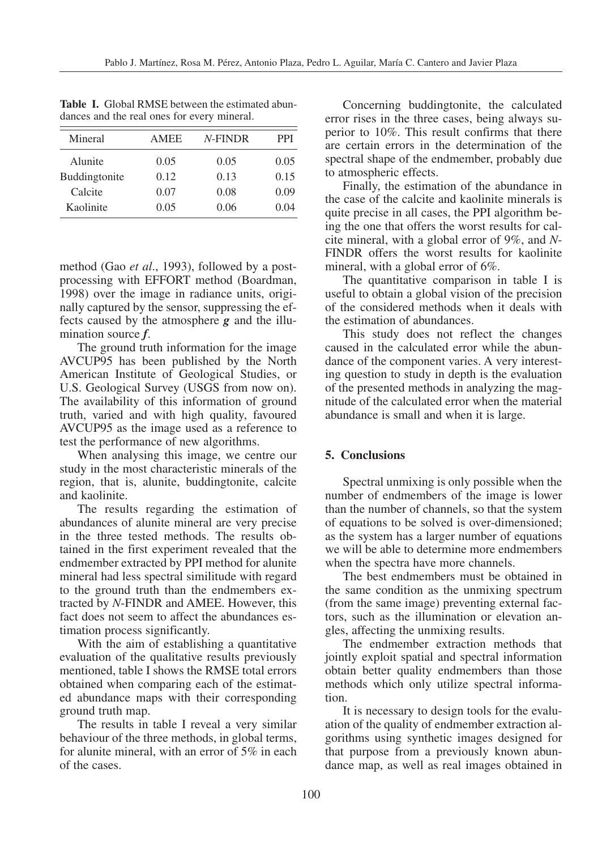| Mineral       | <b>AMEE</b> | $N$ -FINDR | PPI  |
|---------------|-------------|------------|------|
| Alunite       | 0.05        | 0.05       | 0.05 |
| Buddingtonite | 0.12        | 0.13       | 0.15 |
| Calcite       | 0.07        | 0.08       | 0.09 |
| Kaolinite     | 0.05        | 0.06       | 0.04 |

**Table I.** Global RMSE between the estimated abundances and the real ones for every mineral.

method (Gao *et al*., 1993), followed by a postprocessing with EFFORT method (Boardman, 1998) over the image in radiance units, originally captured by the sensor, suppressing the effects caused by the atmosphere *g* and the illumination source *f*.

The ground truth information for the image AVCUP95 has been published by the North American Institute of Geological Studies, or U.S. Geological Survey (USGS from now on). The availability of this information of ground truth, varied and with high quality, favoured AVCUP95 as the image used as a reference to test the performance of new algorithms.

When analysing this image, we centre our study in the most characteristic minerals of the region, that is, alunite, buddingtonite, calcite and kaolinite.

The results regarding the estimation of abundances of alunite mineral are very precise in the three tested methods. The results obtained in the first experiment revealed that the endmember extracted by PPI method for alunite mineral had less spectral similitude with regard to the ground truth than the endmembers extracted by *N*-FINDR and AMEE. However, this fact does not seem to affect the abundances estimation process significantly.

With the aim of establishing a quantitative evaluation of the qualitative results previously mentioned, table I shows the RMSE total errors obtained when comparing each of the estimated abundance maps with their corresponding ground truth map.

The results in table I reveal a very similar behaviour of the three methods, in global terms, for alunite mineral, with an error of 5% in each of the cases.

Concerning buddingtonite, the calculated error rises in the three cases, being always superior to 10%. This result confirms that there are certain errors in the determination of the spectral shape of the endmember, probably due to atmospheric effects.

Finally, the estimation of the abundance in the case of the calcite and kaolinite minerals is quite precise in all cases, the PPI algorithm being the one that offers the worst results for calcite mineral, with a global error of 9%, and *N*-FINDR offers the worst results for kaolinite mineral, with a global error of 6%.

The quantitative comparison in table I is useful to obtain a global vision of the precision of the considered methods when it deals with the estimation of abundances.

This study does not reflect the changes caused in the calculated error while the abundance of the component varies. A very interesting question to study in depth is the evaluation of the presented methods in analyzing the magnitude of the calculated error when the material abundance is small and when it is large.

## **5. Conclusions**

Spectral unmixing is only possible when the number of endmembers of the image is lower than the number of channels, so that the system of equations to be solved is over-dimensioned; as the system has a larger number of equations we will be able to determine more endmembers when the spectra have more channels.

The best endmembers must be obtained in the same condition as the unmixing spectrum (from the same image) preventing external factors, such as the illumination or elevation angles, affecting the unmixing results.

The endmember extraction methods that jointly exploit spatial and spectral information obtain better quality endmembers than those methods which only utilize spectral information.

It is necessary to design tools for the evaluation of the quality of endmember extraction algorithms using synthetic images designed for that purpose from a previously known abundance map, as well as real images obtained in